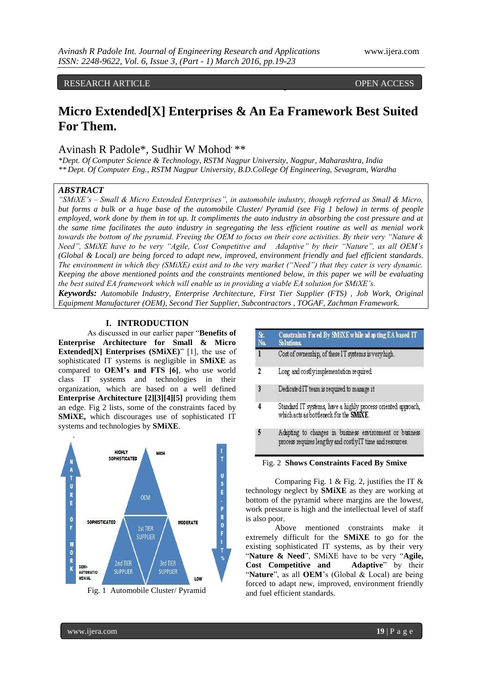## RESEARCH ARTICLE

**OPEN ACCESS** 

# **Micro Extended[X] Enterprises & An Ea Framework Best Suited For Them.**

## Avinash R Padole\*, Sudhir W Mohod<sup>,\*\*</sup>

*\*Dept. Of Computer Science & Technology, RSTM Nagpur University, Nagpur, Maharashtra, India \*\* Dept. Of Computer Eng., RSTM Nagpur University, B.D.College Of Engineering, Sevagram, Wardha*

## *ABSTRACT*

*"SMiXE's – Small & Micro Extended Enterprises", in automobile industry, though referred as Small & Micro, but forms a bulk or a huge base of the automobile Cluster/ Pyramid (see Fig 1 below) in terms of people employed, work done by them in tot up. It compliments the auto industry in absorbing the cost pressure and at the same time facilitates the auto industry in segregating the less efficient routine as well as menial work towards the bottom of the pyramid. Freeing the OEM to focus on their core activities. By their very "Nature & Need", SMiXE have to be very "Agile, Cost Competitive and Adaptive" by their "Nature", as all OEM's (Global & Local) are being forced to adapt new, improved, environment friendly and fuel efficient standards. The environment in which they (SMiXE) exist and to the very market ("Need") that they cater is very dynamic. Keeping the above mentioned points and the constraints mentioned below, in this paper we will be evaluating the best suited EA framework which will enable us in providing a viable EA solution for SMiXE's.*

*Keywords: Automobile Industry, Enterprise Architecture, First Tier Supplier (FTS) , Job Work, Original Equipment Manufacturer (OEM), Second Tier Supplier, Subcontractors , TOGAF, Zachman Framework.*

## **I. INTRODUCTION**

As discussed in our earlier paper "**Benefits of Enterprise Architecture for Small & Micro Extended[X] Enterprises (SMiXE)**" [1], the use of sophisticated IT systems is negligible in **SMiXE** as compared to **OEM's and FTS [6]**, who use world class IT systems and technologies in their organization, which are based on a well defined **Enterprise Architecture [2][3][4][5]** providing them an edge. Fig 2 lists, some of the constraints faced by **SMiXE,** which discourages use of sophisticated IT systems and technologies by **SMiXE**.



Fig. 1 Automobile Cluster/ Pyramid

| Sr.<br>No. | Constraints Faced By SMIXE while ad ap ting EA based IT<br><b>Solutions.</b>                                         |  |  |  |
|------------|----------------------------------------------------------------------------------------------------------------------|--|--|--|
| 1          | Cost of ownership, of these IT systems is very high.                                                                 |  |  |  |
| 2          | Lorg and costly implementation required                                                                              |  |  |  |
| 3          | Dedicated IT team is required to manage it                                                                           |  |  |  |
| 4          | Standard IT systems, have a highly process oriented approach,<br>which acts as bottleneck for the SMIXE.             |  |  |  |
|            | Adapting to changes in business environment or business<br>process requires lengthy and costlyIT time and resources. |  |  |  |

#### Fig. 2 **Shows Constraints Faced By Smixe**

Comparing Fig. 1 & Fig. 2, justifies the IT  $\&$ technology neglect by **SMiXE** as they are working at bottom of the pyramid where margins are the lowest, work pressure is high and the intellectual level of staff is also poor.

Above mentioned constraints make it extremely difficult for the **SMiXE** to go for the existing sophisticated IT systems, as by their very "**Nature & Need**", SMiXE have to be very "**Agile, Cost Competitive and Adaptive**" by their "Nature", as all **OEM**'s (Global & Local) are being forced to adapt new, improved, environment friendly and fuel efficient standards.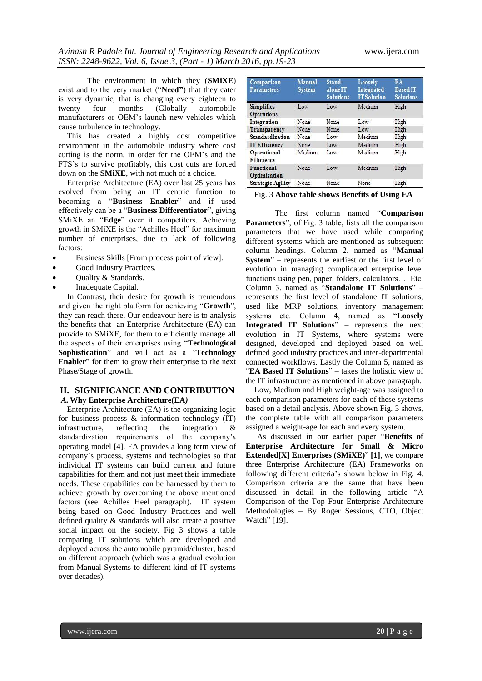The environment in which they (**SMiXE**) exist and to the very market ("**Need"**) that they cater is very dynamic, that is changing every eighteen to twenty four months (Globally automobile manufacturers or OEM's launch new vehicles which cause turbulence in technology.

This has created a highly cost competitive environment in the automobile industry where cost cutting is the norm, in order for the OEM's and the FTS's to survive profitably, this cost cuts are forced down on the **SMiXE**, with not much of a choice.

Enterprise Architecture (EA) over last 25 years has evolved from being an IT centric function to becoming a "**Business Enabler**" and if used effectively can be a "**Business Differentiator**", giving SMiXE an "**Edge**" over it competitors. Achieving growth in SMiXE is the "Achilles Heel" for maximum number of enterprises, due to lack of following factors:

- Business Skills [From process point of view].
- Good Industry Practices.
- Quality & Standards.
- Inadequate Capital.

In Contrast, their desire for growth is tremendous and given the right platform for achieving "**Growth**", they can reach there. Our endeavour here is to analysis the benefits that an Enterprise Architecture (EA) can provide to SMiXE, for them to efficiently manage all the aspects of their enterprises using "**Technological Sophistication**" and will act as a "**Technology Enabler**" for them to grow their enterprise to the next Phase/Stage of growth.

#### **II. SIGNIFICANCE AND CONTRIBUTION** *A.* **Why Enterprise Architecture(EA***)*

Enterprise Architecture (EA) is the organizing logic for business process & information technology (IT) infrastructure, reflecting the integration & standardization requirements of the company's operating model [4]. EA provides a long term view of company's process, systems and technologies so that individual IT systems can build current and future capabilities for them and not just meet their immediate needs. These capabilities can be harnessed by them to achieve growth by overcoming the above mentioned factors (see Achilles Heel paragraph). IT system being based on Good Industry Practices and well defined quality & standards will also create a positive social impact on the society. Fig 3 shows a table comparing IT solutions which are developed and deployed across the automobile pyramid/cluster, based on different approach (which was a gradual evolution from Manual Systems to different kind of IT systems over decades).

| Comparison<br><b>Parameters</b>        | Manual<br><b>System</b> | Stand-<br>alone IT<br><b>Solutions</b> | Looselv<br>Integrated<br><b>IT Solution</b> | EA<br><b>BasedIT</b><br><b>Solutions</b> |
|----------------------------------------|-------------------------|----------------------------------------|---------------------------------------------|------------------------------------------|
| <b>Simplifies</b><br><b>Operations</b> | Low                     | Low                                    | Medium                                      | High                                     |
| Integration                            | None                    | None                                   | Low                                         | High                                     |
| Transparency                           | None                    | None                                   | Low                                         | High                                     |
| Standardization                        | None                    | Low                                    | Medium                                      | High                                     |
| <b>IT Efficiency</b>                   | None                    | Low                                    | Medium                                      | High                                     |
| Operational<br>Efficiency              | Medium                  | Low                                    | Medium                                      | High                                     |
| <b>Functional</b><br>Optimization      | None                    | Low                                    | Medium                                      | High                                     |
| <b>Strategic Agility</b>               | None                    | None                                   | None                                        | High                                     |

Fig. 3 **Above table shows Benefits of Using EA**

The first column named "**Comparison Parameters**", of Fig. 3 table, lists all the comparison parameters that we have used while comparing different systems which are mentioned as subsequent column headings. Column 2, named as "**Manual System**" – represents the earliest or the first level of evolution in managing complicated enterprise level functions using pen, paper, folders, calculators…. Etc. Column 3, named as "**Standalone IT Solutions**" – represents the first level of standalone IT solutions, used like MRP solutions, inventory management systems etc. Column 4, named as "**Loosely Integrated IT Solutions**" – represents the next evolution in IT Systems, where systems were designed, developed and deployed based on well defined good industry practices and inter-departmental connected workflows. Lastly the Column 5, named as "**EA Based IT Solutions**" – takes the holistic view of the IT infrastructure as mentioned in above paragraph.

Low, Medium and High weight-age was assigned to each comparison parameters for each of these systems based on a detail analysis. Above shown Fig. 3 shows, the complete table with all comparison parameters assigned a weight-age for each and every system.

As discussed in our earlier paper "**Benefits of Enterprise Architecture for Small & Micro Extended[X] Enterprises (SMiXE)**" **[1]**, we compare three Enterprise Architecture (EA) Frameworks on following different criteria's shown below in Fig. 4. Comparison criteria are the same that have been discussed in detail in the following article "A Comparison of the Top Four Enterprise Architecture Methodologies – By Roger Sessions, CTO, Object Watch" [19].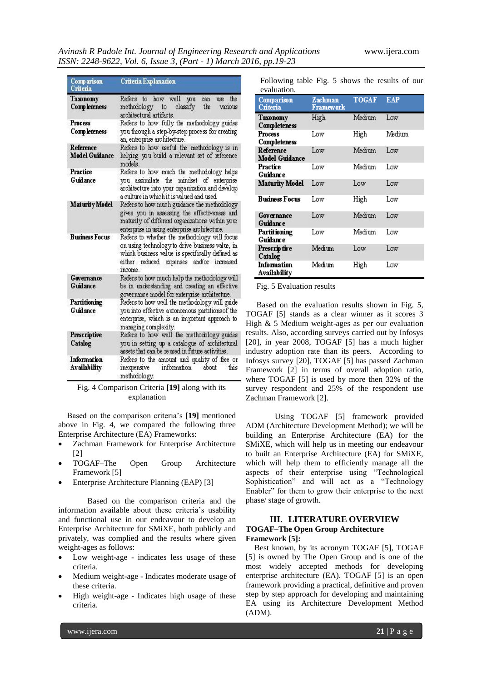| <b>Comparison</b><br>Criteria        | Criteria Explanation                                                                                                                                                                                      |  |  |  |  |
|--------------------------------------|-----------------------------------------------------------------------------------------------------------------------------------------------------------------------------------------------------------|--|--|--|--|
| Taxonomy<br><b>Comp leteness</b>     | Refers to how well you<br>use the<br>can<br>classify<br>methodology<br>the<br>various<br>to<br>architectural artifacts.                                                                                   |  |  |  |  |
| <b>Process</b><br>Comp leteness      | Refers to how fully the methodology guides<br>you through a step-by-step process for creating<br>an, enterprise architecture.                                                                             |  |  |  |  |
| Reference<br><b>Model Guidance</b>   | Refers to how useful the methodology is in<br>helping you build a relevant set of reference<br>models                                                                                                     |  |  |  |  |
| Practice<br><b>Guidance</b>          | Refers to how much the methodology helps<br>you assimilate the mindset of enterprise<br>architecture into your organization and develop<br>a culture in which it is valued and used                       |  |  |  |  |
| Maturity Model                       | Refers to how much guidance the methodology<br>gives you in assessing the effectiveness and<br>maturity of different organizations within your<br>enterprise in using enterprise architecture.            |  |  |  |  |
| <b>Business Focus</b>                | Refers to whether the methodology will focus<br>on using technology to drive business value, in<br>which business value is specifically defined as<br>either reduced expenses and/or increased<br>income. |  |  |  |  |
| <b>Governance</b><br><b>Guidance</b> | Refers to how much help the methodology will<br>be in understanding and creating an effective<br>governance model for enterprise architecture.                                                            |  |  |  |  |
| Partitioning<br><b>Guidance</b>      | Refers to how well the methodology will guide<br>you into effective autonomous partitions of the<br>enterprise, which is an important approach to<br>managing complexity.                                 |  |  |  |  |
| Prescriptive<br>Catalog              | Refers to how well the methodology guides<br>you in setting up a catalogue of architectural<br>assets that can be reused in future activities.                                                            |  |  |  |  |
| Information<br>Availability          | Refers to the amount and quality of free or<br>information<br>about<br>this<br>inexpensive<br>methodology.                                                                                                |  |  |  |  |

Fig. 4 Comparison Criteria **[19]** along with its explanation

Based on the comparison criteria's **[19]** mentioned above in Fig. 4, we compared the following three Enterprise Architecture (EA) Frameworks:

- Zachman Framework for Enterprise Architecture [2]
- TOGAF–The Open Group Architecture Framework [5]
- Enterprise Architecture Planning (EAP) [3]

Based on the comparison criteria and the information available about these criteria's usability and functional use in our endeavour to develop an Enterprise Architecture for SMiXE, both publicly and privately, was complied and the results where given weight-ages as follows:

- Low weight-age indicates less usage of these criteria.
- Medium weight-age Indicates moderate usage of these criteria.
- High weight-age Indicates high usage of these criteria.

Following table Fig. 5 shows the results of our

| evaluation.                        |                      |              |            |  |  |  |  |
|------------------------------------|----------------------|--------------|------------|--|--|--|--|
| Comparison<br>Criteria             | Zachman<br>Framework | <b>TOGAF</b> | <b>EAP</b> |  |  |  |  |
| Taxonomy<br>Completeness           | High                 | Medium       | Low        |  |  |  |  |
| Process<br>Completeness            | Low                  | High         | Medium     |  |  |  |  |
| Reference<br>Model Guidance        | Low                  | Medium       | Low        |  |  |  |  |
| Practice<br>Guidance               | Low                  | Medium       | Low        |  |  |  |  |
| Maturity Model                     | Low                  | Low          | Low        |  |  |  |  |
| <b>Business Focus</b>              | Low                  | High         | Low        |  |  |  |  |
| Governance<br><b>Guidance</b>      | Low                  | Medium       | Low        |  |  |  |  |
| Partitioning<br><b>Guidance</b>    | Low                  | Medium       | Low        |  |  |  |  |
| Prescriptive<br>Catalog            | Medium               | Low          | Low        |  |  |  |  |
| <b>Information</b><br>Availability | Medium               | High         | Low        |  |  |  |  |

Fig. 5 Evaluation results

Based on the evaluation results shown in Fig. 5, TOGAF [5] stands as a clear winner as it scores 3 High & 5 Medium weight-ages as per our evaluation results. Also, according surveys carried out by Infosys [20], in year 2008, TOGAF [5] has a much higher industry adoption rate than its peers. According to Infosys survey [20], TOGAF [5] has passed Zachman Framework [2] in terms of overall adoption ratio, where TOGAF [5] is used by more then 32% of the survey respondent and 25% of the respondent use Zachman Framework [2].

Using TOGAF [5] framework provided ADM (Architecture Development Method); we will be building an Enterprise Architecture (EA) for the SMiXE, which will help us in meeting our endeavour to built an Enterprise Architecture (EA) for SMiXE, which will help them to efficiently manage all the aspects of their enterprise using "Technological Sophistication" and will act as a "Technology Enabler" for them to grow their enterprise to the next phase/ stage of growth.

### **III. LITERATURE OVERVIEW TOGAF–The Open Group Architecture Framework [5]:**

Best known, by its acronym TOGAF [5], TOGAF [5] is owned by The Open Group and is one of the most widely accepted methods for developing enterprise architecture (EA). TOGAF [5] is an open framework providing a practical, definitive and proven step by step approach for developing and maintaining EA using its Architecture Development Method (ADM).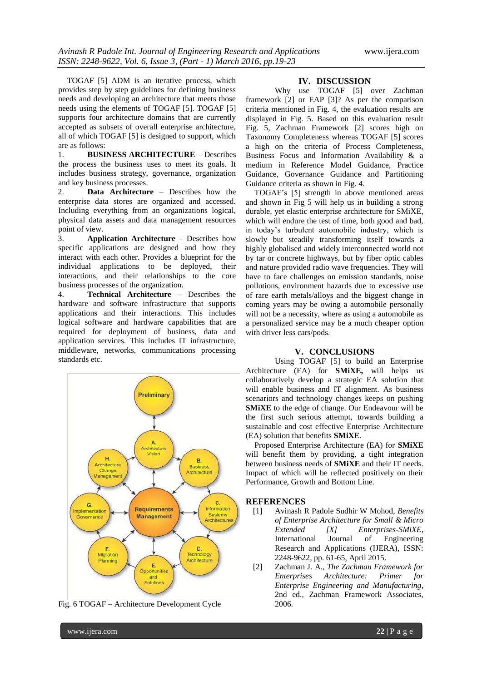TOGAF [5] ADM is an iterative process, which provides step by step guidelines for defining business needs and developing an architecture that meets those needs using the elements of TOGAF [5]. TOGAF [5] supports four architecture domains that are currently accepted as subsets of overall enterprise architecture, all of which TOGAF [5] is designed to support, which are as follows:

1. **BUSINESS ARCHITECTURE** – Describes the process the business uses to meet its goals. It includes business strategy, governance, organization and key business processes.

2. **Data Architecture** – Describes how the enterprise data stores are organized and accessed. Including everything from an organizations logical, physical data assets and data management resources point of view.

3. **Application Architecture** – Describes how specific applications are designed and how they interact with each other. Provides a blueprint for the individual applications to be deployed, their interactions, and their relationships to the core business processes of the organization.

4. **Technical Architecture** – Describes the hardware and software infrastructure that supports applications and their interactions. This includes logical software and hardware capabilities that are required for deployment of business, data and application services. This includes IT infrastructure, middleware, networks, communications processing standards etc.



Fig. 6 TOGAF – Architecture Development Cycle

### **IV. DISCUSSION**

Why use TOGAF [5] over Zachman framework [2] or EAP [3]? As per the comparison criteria mentioned in Fig. 4, the evaluation results are displayed in Fig. 5. Based on this evaluation result Fig. 5, Zachman Framework [2] scores high on Taxonomy Completeness whereas TOGAF [5] scores a high on the criteria of Process Completeness, Business Focus and Information Availability & a medium in Reference Model Guidance, Practice Guidance, Governance Guidance and Partitioning Guidance criteria as shown in Fig. 4.

TOGAF's [5] strength in above mentioned areas and shown in Fig 5 will help us in building a strong durable, yet elastic enterprise architecture for SMiXE, which will endure the test of time, both good and bad, in today's turbulent automobile industry, which is slowly but steadily transforming itself towards a highly globalised and widely interconnected world not by tar or concrete highways, but by fiber optic cables and nature provided radio wave frequencies. They will have to face challenges on emission standards, noise pollutions, environment hazards due to excessive use of rare earth metals/alloys and the biggest change in coming years may be owing a automobile personally will not be a necessity, where as using a automobile as a personalized service may be a much cheaper option with driver less cars/pods.

#### **V. CONCLUSIONS**

Using TOGAF [5] to build an Enterprise Architecture (EA) for **SMiXE,** will helps us collaboratively develop a strategic EA solution that will enable business and IT alignment. As business scenariors and technology changes keeps on pushing **SMiXE** to the edge of change. Our Endeavour will be the first such serious attempt, towards building a sustainable and cost effective Enterprise Architecture (EA) solution that benefits **SMiXE**.

Proposed Enterprise Architecture (EA) for **SMiXE** will benefit them by providing, a tight integration between business needs of **SMiXE** and their IT needs. Impact of which will be reflected positively on their Performance, Growth and Bottom Line.

#### **REFERENCES**

- [1] Avinash R Padole Sudhir W Mohod, *Benefits of Enterprise Architecture for Small & Micro Extended [X] Enterprises-SMiXE*, International Journal of Engineering Research and Applications (IJERA), ISSN: 2248-9622, pp. 61-65, April 2015.
- [2] Zachman J. A., *The Zachman Framework for Enterprises Architecture: Primer for Enterprise Engineering and Manufacturing*, 2nd ed., Zachman Framework Associates, 2006.